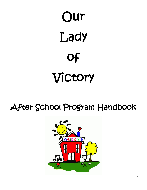# Our Lady of Victory

## After School Program Handbook

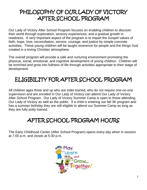### PHILOSOPHY OF OUR LADY OF VICTORY AFTER SCHOOL PROGRAM

Our Lady of Victory After School Program focuses on enabling children to discover their world through exploration, sensory experiences, and a gradual growth in readiness. A very important aspect of the program is to impart the Gospel values of faith, hope, love, reconciliation, service, courage, and justice by simple concrete activities. These young children will be taught reverence for people and the things God created in a loving Christian atmosphere.

The overall program will provide a safe and nurturing environment promoting the physical, social, emotional, and cognitive development of young children. Children will be enriched and grow into fullness of life through activities appropriate to their stage of development.

### ELIGIBILITY FOR AFTER SCHOOL PROGRAM

All children ages three and up who are toilet trained, who do not require one-on-one supervision and are enrolled in Our Lady of Victory can attend Our Lady of Victory After School Program. Our Lady of Victory Summer Camp is open to those attending Our Lady of Victory as well as the public. If a child is entering our fall 3K program and has a summer birthday they are still eligible to attend our Summer Camp as long as they are fully potty trained.

### AFTER SCHOOL PROGRAM HOURS

The Early Childhood Center (After School Program) opens every day when in session at 7:00 a.m. and closes at 5:30 p.m.

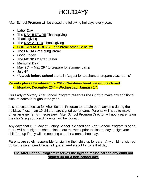### HOLIDAYS

After School Program will be closed the following holidays every year:

- Labor Day
- The **DAY BEFORE** Thanksgiving
- Thanksgiving
- The **DAY AFTER** Thanksgiving
- **CHRISTMAS BREAK** see break schedule below
- The **FRIDAY** of Spring Break
- Good Friday
- The **MONDAY** after Easter
- Memorial Day
- May  $25^{th}$  May  $29^{th}$  to prepare for summer camp
- $\bullet$  July  $4^{\text{th}}$
- \*A **week before school** starts in August for teachers to prepare classrooms\*

#### **Parents please be advised for 2019 Christmas break we will be closed**  • **Monday, December 23rd – Wednesday, January 1st .**

Our Lady of Victory After School Program **reserves the right** to make any additional closure dates throughout the year.

It is not cost effective for After School Program to remain open anytime during the holidays if less than 10 children are signed up for care. Parents will need to make other arrangements if necessary. After School Program Director will notify parents on the child's sign out card if center will be closed.

Any days that Our Lady of Victory School is closed and After School Program is open, there will be a sign-up sheet placed out the week prior to closure day to sign your child/ren up if they will be needing care for a non-school day.

Parents are solely responsible for signing their child up for care. Any child not signed up by the given deadline is not guaranteed a spot for care that day.

#### **The After School Program reserves the right to refuse care to any child not signed up for a non-school day.**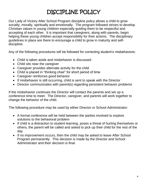### DISCIPLINE POLICY

Our Lady of Victory After School Program discipline policy allows a child to grow socially, morally, spiritually and emotionally. The program followed strives to develop Christian values in young children especially guiding them to be respectful and accepting of each other. It is important that caregivers, along with parents, begin helping these young children accept responsibility for their actions. The disciplinary guidelines in place are there to encourage a child to grow in maturity and selfdiscipline.

Any of the following procedures will be followed for correcting student's misbehaviors:

- Child is taken aside and misbehavior is discussed
- Child sits near the caregiver
- Caregiver provides alternate activity for the child
- Child is placed in "thinking chair" for short period of time
- Caregiver reinforces good behavior
- If misbehavior is still occurring, child is sent to speak with the Director
- Director communicates with parent(s) regarding persistent behavior problems

If the misbehavior continues the Director will contact the parents and set up a conference time to meet. The Director, caregiver, and parents will work together to change the behavior of the child.

The following procedure may be used by either Director or School Administrator:

- A formal conference will be held between the parties involved to explore solutions to the behavioral problem
- If child is a distraction to student learning, poses a threat of hurting themselves or others, the parent will be called and asked to pick up their child for the rest of the day
- If no improvement occurs, then the child may be asked to leave After School Program permanently. This decision is made by the Director and School Administrator and their decision is final.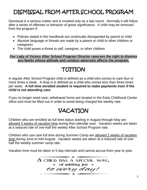### DISMISSAL FROM AFTER SCHOOL PROGRAM

Dismissal is a serious matter and is invoked only as a last resort. Normally it will follow after a series of offenses or behavior of grave significance. A child may be removed from the program if:

- Policies stated in the handbook are continually disregarded by parent or child
- Abusive language or threats are made by a parent or child to other children or caregivers
- The child poses a threat to self, caregiver, or other children

#### **Our Lady of Victory After School Program Director reserves the right to dismiss any family whose attitude and conduct adversely affects the program.**

### TUITION

A regular After School Program child is defined as a child who comes to care four or more times a week. A drop in is defined as a child who comes less than three times per week. **A full time enrolled student is required to make payments even if the child is not attending care.**

If you no longer need care; withdrawal forms are located in the Early Childhood Center office and must be filled out in order to avoid being charged the weekly rate.

### VACATION

Children who are enrolled as full time status starting in August through May are allowed 3 weeks of vacation time during that calendar year. Vacation weeks are taken at a reduced rate of one-half the weekly After School Program rate.

Children who use care full time during Summer Camp are allowed 2 weeks of vacation time during June to mid-August. Vacation weeks are taken at a reduced rate of onehalf the weekly summer camp rate.

Vacation time must be taken in 5 day intervals and cannot accrue from year to year.

 $\longrightarrow$ 

 $\Delta$  CHILD HAS A SPECIAL WAY.  $\div$  of adding joy  $\div$ to every day!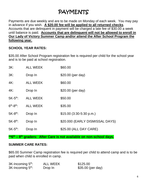### PAYMENTS

Payments are due weekly and are to be made on Monday of each week. You may pay in advance if you wish. **A \$20.00 fee will be applied to all returned checks**. Accounts that are delinquent in payment will be charged a late fee of \$30.00 a week until balance is paid. **Accounts that are delinquent will not be allowed to enroll in Our Lady of Victory Summer Camp and/or attend the After School Program the following year.**

#### **SCHOOL YEAR RATES:**

\$35.00 After School Program registration fee is required per child for the school year and is to be paid at school registration.

| 3K:                    | <b>ALL WEEK</b> | \$60.00                         |
|------------------------|-----------------|---------------------------------|
| 3K:                    | Drop In         | \$20.00 (per day)               |
| 4K:                    | <b>ALL WEEK</b> | \$60.00                         |
| $4K$ :                 | Drop In         | \$20.00 (per day)               |
| $5K-5^{th}$ :          | <b>ALL WEEK</b> | \$50.00                         |
| $6th - 8th$ :          | <b>ALL WEEK</b> | \$35.00                         |
| $5K-8$ <sup>th</sup> : | Drop In         | $$15.00$ (3:30-5:30 p.m.)       |
| $5K-8^{th}$ :          | Drop In         | \$20.000 (EARLY DISMISSAL DAYS) |
| $5K-5^{th}$ :          | Drop In         | \$25.00 (ALL DAY CARE)          |

**\*\*6th – 8 th graders: After Care is not available on non-school days.**

#### **SUMMER CARE RATES:**

\$65.00 Summer Camp registration fee is required per child to attend camp and is to be paid when child is enrolled in camp.

| 3K-Incoming 5 <sup>th</sup> : | <b>ALL WEEK</b> | \$125.00          |
|-------------------------------|-----------------|-------------------|
| 3K-Incoming 5 <sup>th</sup> : | Drop In         | \$35.00 (per day) |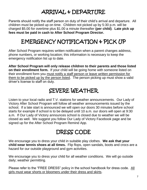### ARRIVAL & DEPARTURE

Parents should notify the staff person on duty of their child's arrival and departure. All children must be picked up on time. Children not picked up by 5:30 p.m. will be charged \$5.00 for overtime plus \$1.00 a minute thereafter **(per child)**. **Late pick up fees must be paid in cash to After School Program Director.**

### EMERGENCY NOTIFICATION & PICK UP

After School Program requires written notification when a parent changes address, phone numbers, or working location; this information is necessary to keep the emergency notification list up to date.

**After School Program will only release children to their parents and those listed on their enrollment form.** If your child will be going home with someone listed on their enrollment form you must notify a staff person or leave written permission for them to be picked up by the person listed. The person picking up must show a valid driver's license to staff on duty.

### SEVERE WEATHER

Listen to your local radio and T.V. stations for weather announcements. Our Lady of Victory After School Program will follow all weather announcements issued by the school. If a late start is announced we will open our doors 30 minutes before school starts for example if school is to be delayed until 10 a.m. our doors will open at 9:30 a.m. If Our Lady of Victory announces school is closed due to weather we will be closed as well. We suggest you follow Our Lady of Victory Facebook page and be signed up for the After School Program Remind App.

### DRESS CODE

We encourage you to dress your child in suitable play clothes. **We ask that your child wear tennis shoes at all times.** Flip flops, open sandals, boots and crocs are a hazard for our outside playground and gym activities.

We encourage you to dress your child for all weather conditions. We will go outside daily; weather permitting.

Please refer to the "FREE DRESS" policy in the school handbook for dress code. All girls must wear shorts or bloomers under their dress and skirts.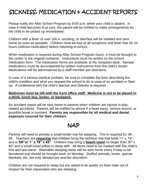### SICKNESS, MEDICATION & ACCIDENT REPORTS

Please notify the After School Program by 9:00 a.m. when your child is absent. In case a child becomes ill at care, the parent will be notified to make arrangements for the child to be picked up immediately.

Children with a fever of over 100.4, vomiting, or diarrhea will be isolated and sent home as soon as possible. Children must be free of all symptoms and fever free for 24 hours (without medication) before returning to school.

When medication is required during After School Program hours, it must be brought to the center in the original container. Instructions must be written on the school medication form. The medication forms are available at the reception desk. Sample medications must be accompanied by written instructions from the child's doctor. Medications will be administered by a staff member per directions.

In case of a serious medical problem, be sure to complete the form describing the child's condition and what you request the school to do in case of an accident or flare up. A conference with the child's teacher and Director is required.

#### **Medicines must be left with the front office staff. Medicine is not to be placed in a drink, lunch box, locker, or backpack.**

An accident report will be sent home to parents when children are injured in play related accidents. Parents will be notified by phone if a head injury, serious wound, or possible break is involved. **Parents are responsible for all medical and dental expenses incurred for their children.**

### NAP

Parents will need to provide a small kinder mat for sleeping. This is required for 3K-5K. Teachers are **requiring** that children bring the red/blue mat that folds 11" x 19" and is **5/8"or 1" x 19" x 45"**. Children may bring a **beach towel** no larger than 30" x 60" and a small travel pillow to sleep with. All items need to be marked with the child's first and last name. Washable sleeping items will be sent home every Friday to be laundered and should be brought back on Monday. Stuffed animals, lovies, special blankets, etc. are only allowed per teacher discretion.

Children are not required to sleep but are asked to lie quietly on their mats out of respect for their classmates who are sleeping.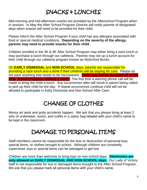### SNACKS & LUNCHES

Mid-morning and mid-afternoon snacks are provided by the Afterschool Program when in session. In May the After School Program Director will notify parents of designated days when snacks will need to be provided for their child.

Please inform the After School Program if your child has any allergies associated with food or special medical conditions. **Depending on the severity of the allergy, parents may need to provide snacks for their child.**

Children enrolled in the 3K & 4K After School Program may either bring a sack lunch or may purchase a lunch through our cafeteria. Parents may set up a lunch account for their child through our cafeteria program known as MySchool Bucks.

On **EARLY DISMISSAL** and **NON-SCHOOL** days, parents are responsible for providing a sack lunch and a drink if their child/ren will be staying for care. Please do not pack anything that needs to be microwaved. **Child may not be dropped off at the After School Program without a lunch**. The first time a warning phone call will be made to bring the child a lunch. Any occurrences after will result in parent being called to pick up their child for the day. If repeat occurrences continue child will not be allowed to participate in Early Dismissal and Non-School After Care.

### CHANGE OF CLOTHES

Messy art work and potty accidents happen. We ask that you please bring at least 2 sets of underwear, socks, and outfits in a ziploc bag labeled with your child's name to be kept in the classroom.

### DAMAGE TO PERSONAL ITEMS

Staff members cannot be responsible for the loss or destruction of personal toys, special items, or clothes brought to school. Although children are constantly supervised, toys or special items can be damaged or get lost.

Children are more than welcome to bring toys on non-school days. **Electronics are only allowed on EARLY DISMISSAL AND NON-SCHOOL days.** Our Lady of Victory staff is not responsible for lost or damaged items brought to the After School Program. We ask that you please mark all personal items with your child's name.